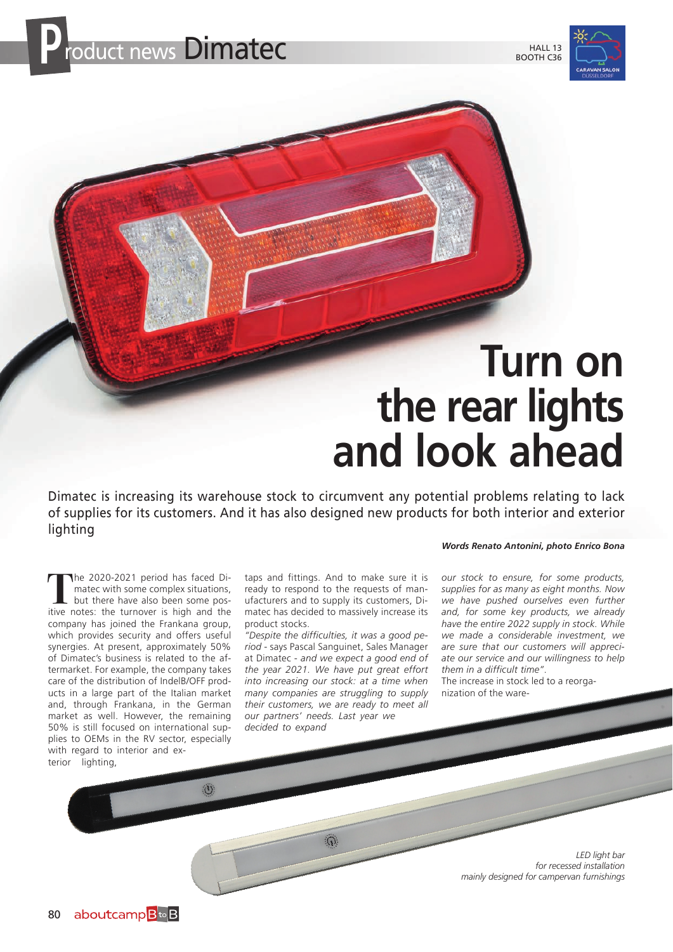

## **Turn on the rear lights and look ahead**

Dimatec is increasing its warehouse stock to circumvent any potential problems relating to lack of supplies for its customers. And it has also designed new products for both interior and exterior lighting

**T**he 2020-2021 period has faced Dimatec with some complex situations, but there have also been some positive notes: the turnover is high and the company has joined the Frankana group, which provides security and offers useful synergies. At present, approximately 50% of Dimatec's business is related to the aftermarket. For example, the company takes care of the distribution of IndelB/OFF products in a large part of the Italian market and, through Frankana, in the German market as well. However, the remaining 50% is still focused on international supplies to OEMs in the RV sector, especially with regard to interior and exterior lighting,

 $\langle 0 \rangle$ 

taps and fittings. And to make sure it is ready to respond to the requests of manufacturers and to supply its customers, Dimatec has decided to massively increase its product stocks.

*"Despite the difficulties, it was a good period* - says Pascal Sanguinet, Sales Manager at Dimatec - *and we expect a good end of the year 2021. We have put great effort into increasing our stock: at a time when many companies are struggling to supply their customers, we are ready to meet all our partners' needs. Last year we decided to expand* 

 $\overline{\Omega}$ 

*Words Renato Antonini, photo Enrico Bona*

*our stock to ensure, for some products, supplies for as many as eight months. Now we have pushed ourselves even further and, for some key products, we already have the entire 2022 supply in stock. While we made a considerable investment, we are sure that our customers will appreciate our service and our willingness to help them in a difficult time"*.

The increase in stock led to a reorganization of the ware-

> *LED light bar for recessed installation mainly designed for campervan furnishings*